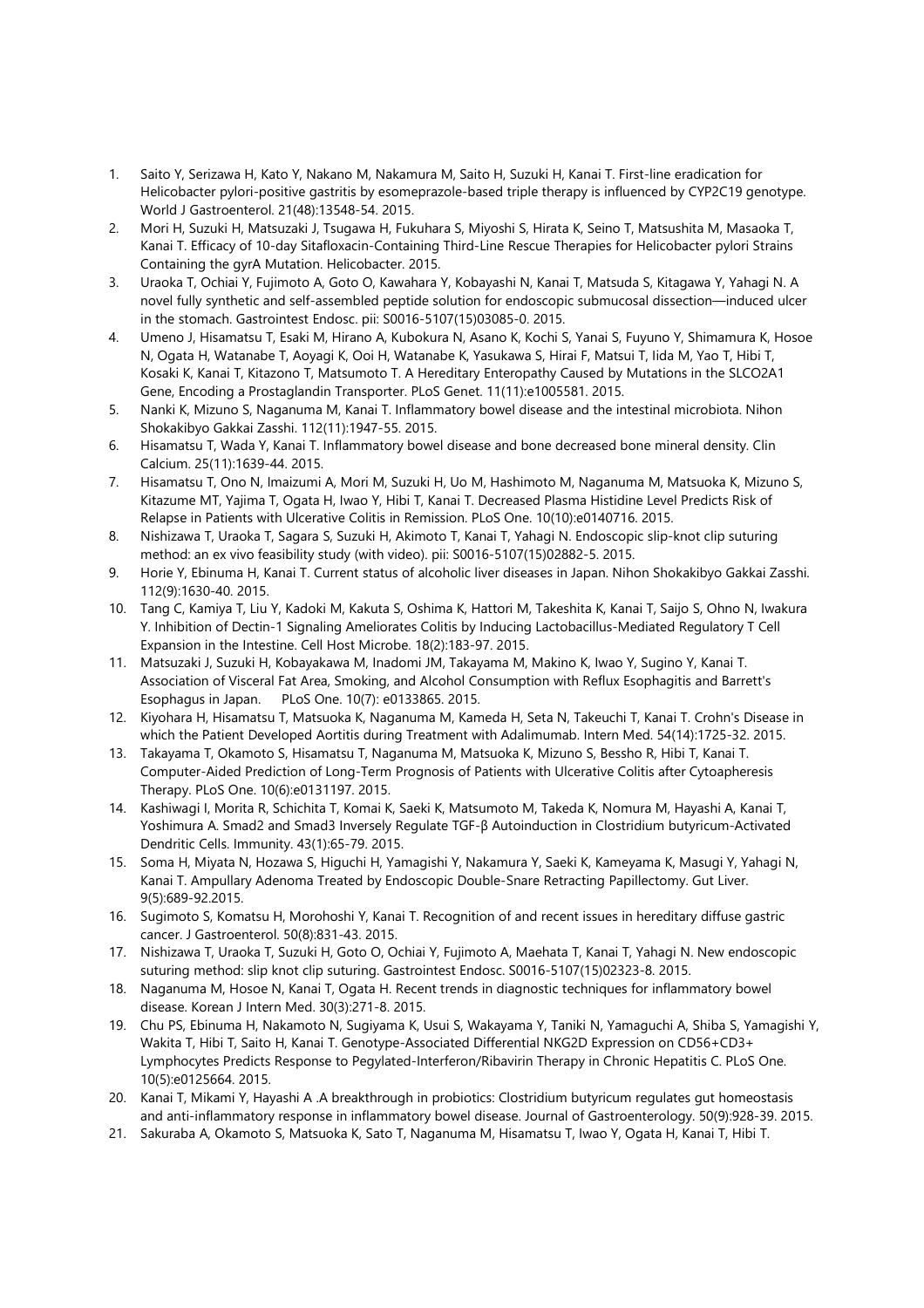- 1. Saito Y, Serizawa H, Kato Y, Nakano M, Nakamura M, Saito H, Suzuki H, Kanai T. First-line eradication for Helicobacter pylori-positive gastritis by esomeprazole-based triple therapy is influenced by CYP2C19 genotype. World J Gastroenterol. 21(48):13548-54. 2015.
- 2. Mori H, Suzuki H, Matsuzaki J, Tsugawa H, Fukuhara S, Miyoshi S, Hirata K, Seino T, Matsushita M, Masaoka T, Kanai T. Efficacy of 10-day Sitafloxacin-Containing Third-Line Rescue Therapies for Helicobacter pylori Strains Containing the gyrA Mutation. Helicobacter. 2015.
- 3. Uraoka T, Ochiai Y, Fujimoto A, Goto O, Kawahara Y, Kobayashi N, Kanai T, Matsuda S, Kitagawa Y, Yahagi N. A novel fully synthetic and self-assembled peptide solution for endoscopic submucosal dissection—induced ulcer in the stomach. Gastrointest Endosc. pii: S0016-5107(15)03085-0. 2015.
- 4. Umeno J, Hisamatsu T, Esaki M, Hirano A, Kubokura N, Asano K, Kochi S, Yanai S, Fuyuno Y, Shimamura K, Hosoe N, Ogata H, Watanabe T, Aoyagi K, Ooi H, Watanabe K, Yasukawa S, Hirai F, Matsui T, Iida M, Yao T, Hibi T, Kosaki K, Kanai T, Kitazono T, Matsumoto T. A Hereditary Enteropathy Caused by Mutations in the SLCO2A1 Gene, Encoding a Prostaglandin Transporter. PLoS Genet. 11(11):e1005581. 2015.
- 5. Nanki K, Mizuno S, Naganuma M, Kanai T. Inflammatory bowel disease and the intestinal microbiota. Nihon Shokakibyo Gakkai Zasshi. 112(11):1947-55. 2015.
- 6. Hisamatsu T, Wada Y, Kanai T. Inflammatory bowel disease and bone decreased bone mineral density. Clin Calcium. 25(11):1639-44. 2015.
- 7. Hisamatsu T, Ono N, Imaizumi A, Mori M, Suzuki H, Uo M, Hashimoto M, Naganuma M, Matsuoka K, Mizuno S, Kitazume MT, Yajima T, Ogata H, Iwao Y, Hibi T, Kanai T. Decreased Plasma Histidine Level Predicts Risk of Relapse in Patients with Ulcerative Colitis in Remission. PLoS One. 10(10):e0140716. 2015.
- 8. Nishizawa T, Uraoka T, Sagara S, Suzuki H, Akimoto T, Kanai T, Yahagi N. Endoscopic slip-knot clip suturing method: an ex vivo feasibility study (with video). pii: S0016-5107(15)02882-5. 2015.
- 9. Horie Y, Ebinuma H, Kanai T. Current status of alcoholic liver diseases in Japan. Nihon Shokakibyo Gakkai Zasshi. 112(9):1630-40. 2015.
- 10. Tang C, Kamiya T, Liu Y, Kadoki M, Kakuta S, Oshima K, Hattori M, Takeshita K, Kanai T, Saijo S, Ohno N, Iwakura Y. Inhibition of Dectin-1 Signaling Ameliorates Colitis by Inducing Lactobacillus-Mediated Regulatory T Cell Expansion in the Intestine. Cell Host Microbe. 18(2):183-97. 2015.
- 11. Matsuzaki J, Suzuki H, Kobayakawa M, Inadomi JM, Takayama M, Makino K, Iwao Y, Sugino Y, Kanai T. Association of Visceral Fat Area, Smoking, and Alcohol Consumption with Reflux Esophagitis and Barrett's Esophagus in Japan. PLoS One. 10(7): e0133865. 2015.
- 12. Kiyohara H, Hisamatsu T, Matsuoka K, Naganuma M, Kameda H, Seta N, Takeuchi T, Kanai T. Crohn's Disease in which the Patient Developed Aortitis during Treatment with Adalimumab. Intern Med. 54(14):1725-32. 2015.
- 13. Takayama T, Okamoto S, Hisamatsu T, Naganuma M, Matsuoka K, Mizuno S, Bessho R, Hibi T, Kanai T. Computer-Aided Prediction of Long-Term Prognosis of Patients with Ulcerative Colitis after Cytoapheresis Therapy. PLoS One. 10(6):e0131197. 2015.
- 14. Kashiwagi I, Morita R, Schichita T, Komai K, Saeki K, Matsumoto M, Takeda K, Nomura M, Hayashi A, Kanai T, Yoshimura A. Smad2 and Smad3 Inversely Regulate TGF-β Autoinduction in Clostridium butyricum-Activated Dendritic Cells. Immunity. 43(1):65-79. 2015.
- 15. Soma H, Miyata N, Hozawa S, Higuchi H, Yamagishi Y, Nakamura Y, Saeki K, Kameyama K, Masugi Y, Yahagi N, Kanai T. Ampullary Adenoma Treated by Endoscopic Double-Snare Retracting Papillectomy. Gut Liver. 9(5):689-92.2015.
- 16. Sugimoto S, Komatsu H, Morohoshi Y, Kanai T. Recognition of and recent issues in hereditary diffuse gastric cancer. J Gastroenterol. 50(8):831-43. 2015.
- 17. Nishizawa T, Uraoka T, Suzuki H, Goto O, Ochiai Y, Fujimoto A, Maehata T, Kanai T, Yahagi N. New endoscopic suturing method: slip knot clip suturing. Gastrointest Endosc. S0016-5107(15)02323-8. 2015.
- 18. Naganuma M, Hosoe N, Kanai T, Ogata H. Recent trends in diagnostic techniques for inflammatory bowel disease. Korean J Intern Med. 30(3):271-8. 2015.
- 19. Chu PS, Ebinuma H, Nakamoto N, Sugiyama K, Usui S, Wakayama Y, Taniki N, Yamaguchi A, Shiba S, Yamagishi Y, Wakita T, Hibi T, Saito H, Kanai T. Genotype-Associated Differential NKG2D Expression on CD56+CD3+ Lymphocytes Predicts Response to Pegylated-Interferon/Ribavirin Therapy in Chronic Hepatitis C. PLoS One. 10(5):e0125664. 2015.
- 20. Kanai T, Mikami Y, Hayashi A .A breakthrough in probiotics: Clostridium butyricum regulates gut homeostasis and anti-inflammatory response in inflammatory bowel disease. Journal of Gastroenterology. 50(9):928-39. 2015.
- 21. Sakuraba A, Okamoto S, Matsuoka K, Sato T, Naganuma M, Hisamatsu T, Iwao Y, Ogata H, Kanai T, Hibi T.